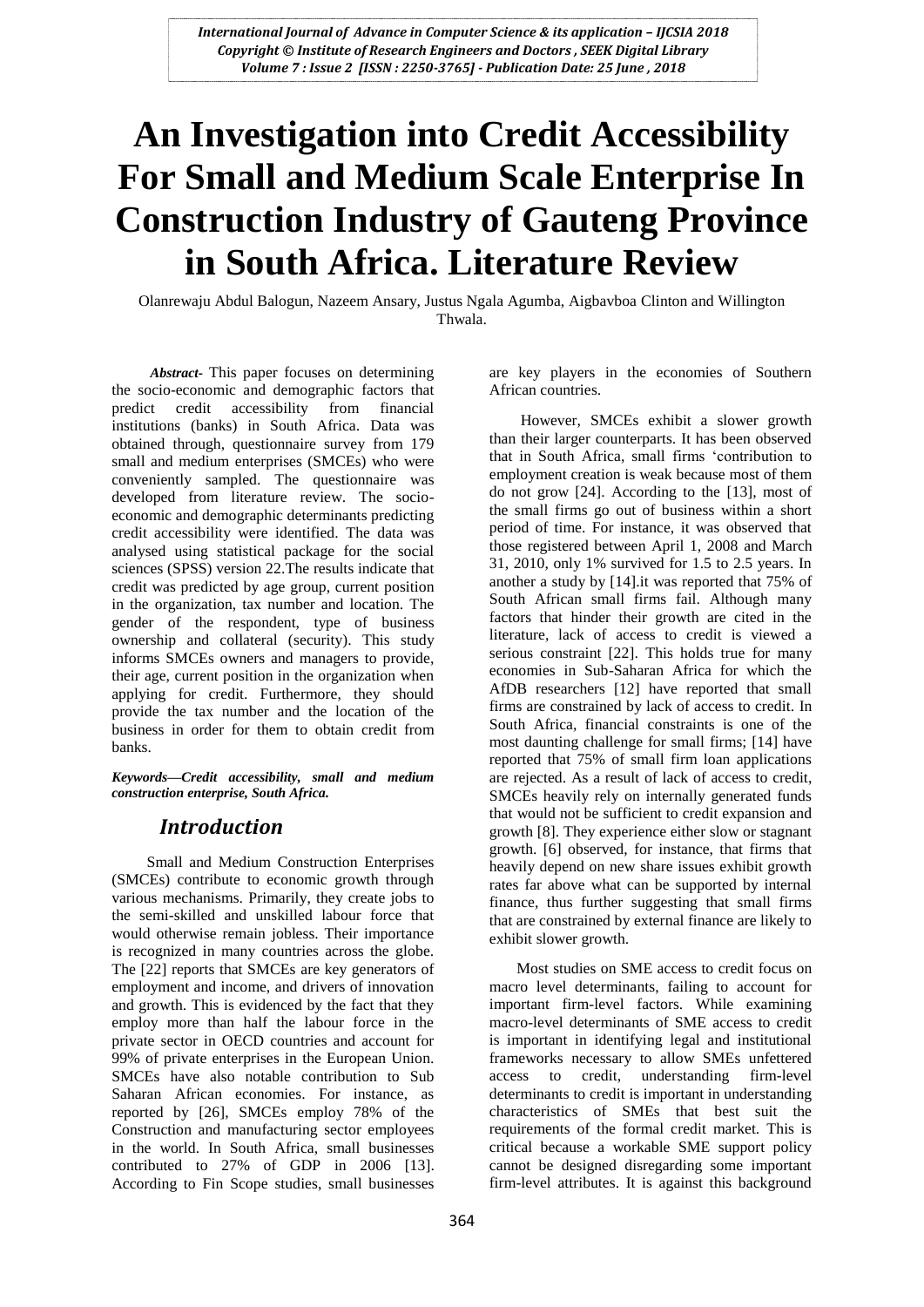# **An Investigation into Credit Accessibility For Small and Medium Scale Enterprise In Construction Industry of Gauteng Province in South Africa. Literature Review**

Olanrewaju Abdul Balogun, Nazeem Ansary, Justus Ngala Agumba, Aigbavboa Clinton and Willington Thwala.

 *Abstract-* This paper focuses on determining the socio-economic and demographic factors that predict credit accessibility from financial institutions (banks) in South Africa. Data was obtained through, questionnaire survey from 179 small and medium enterprises (SMCEs) who were conveniently sampled. The questionnaire was developed from literature review. The socioeconomic and demographic determinants predicting credit accessibility were identified. The data was analysed using statistical package for the social sciences (SPSS) version 22.The results indicate that credit was predicted by age group, current position in the organization, tax number and location. The gender of the respondent, type of business ownership and collateral (security). This study informs SMCEs owners and managers to provide, their age, current position in the organization when applying for credit. Furthermore, they should provide the tax number and the location of the business in order for them to obtain credit from banks.

*Keywords—Credit accessibility, small and medium construction enterprise, South Africa.*

## *Introduction*

 Small and Medium Construction Enterprises (SMCEs) contribute to economic growth through various mechanisms. Primarily, they create jobs to the semi-skilled and unskilled labour force that would otherwise remain jobless. Their importance is recognized in many countries across the globe. The [22] reports that SMCEs are key generators of employment and income, and drivers of innovation and growth. This is evidenced by the fact that they employ more than half the labour force in the private sector in OECD countries and account for 99% of private enterprises in the European Union. SMCEs have also notable contribution to Sub Saharan African economies. For instance, as reported by [26], SMCEs employ 78% of the Construction and manufacturing sector employees in the world. In South Africa, small businesses contributed to 27% of GDP in 2006 [13]. According to Fin Scope studies, small businesses

are key players in the economies of Southern African countries.

 However, SMCEs exhibit a slower growth than their larger counterparts. It has been observed that in South Africa, small firms "contribution to employment creation is weak because most of them do not grow [24]. According to the [13], most of the small firms go out of business within a short period of time. For instance, it was observed that those registered between April 1, 2008 and March 31, 2010, only 1% survived for 1.5 to 2.5 years. In another a study by [14].it was reported that 75% of South African small firms fail. Although many factors that hinder their growth are cited in the literature, lack of access to credit is viewed a serious constraint [22]. This holds true for many economies in Sub-Saharan Africa for which the AfDB researchers [12] have reported that small firms are constrained by lack of access to credit. In South Africa, financial constraints is one of the most daunting challenge for small firms; [14] have reported that 75% of small firm loan applications are rejected. As a result of lack of access to credit, SMCEs heavily rely on internally generated funds that would not be sufficient to credit expansion and growth [8]. They experience either slow or stagnant growth. [6] observed, for instance, that firms that heavily depend on new share issues exhibit growth rates far above what can be supported by internal finance, thus further suggesting that small firms that are constrained by external finance are likely to exhibit slower growth.

 Most studies on SME access to credit focus on macro level determinants, failing to account for important firm-level factors. While examining macro-level determinants of SME access to credit is important in identifying legal and institutional frameworks necessary to allow SMEs unfettered access to credit, understanding firm-level determinants to credit is important in understanding characteristics of SMEs that best suit the requirements of the formal credit market. This is critical because a workable SME support policy cannot be designed disregarding some important firm-level attributes. It is against this background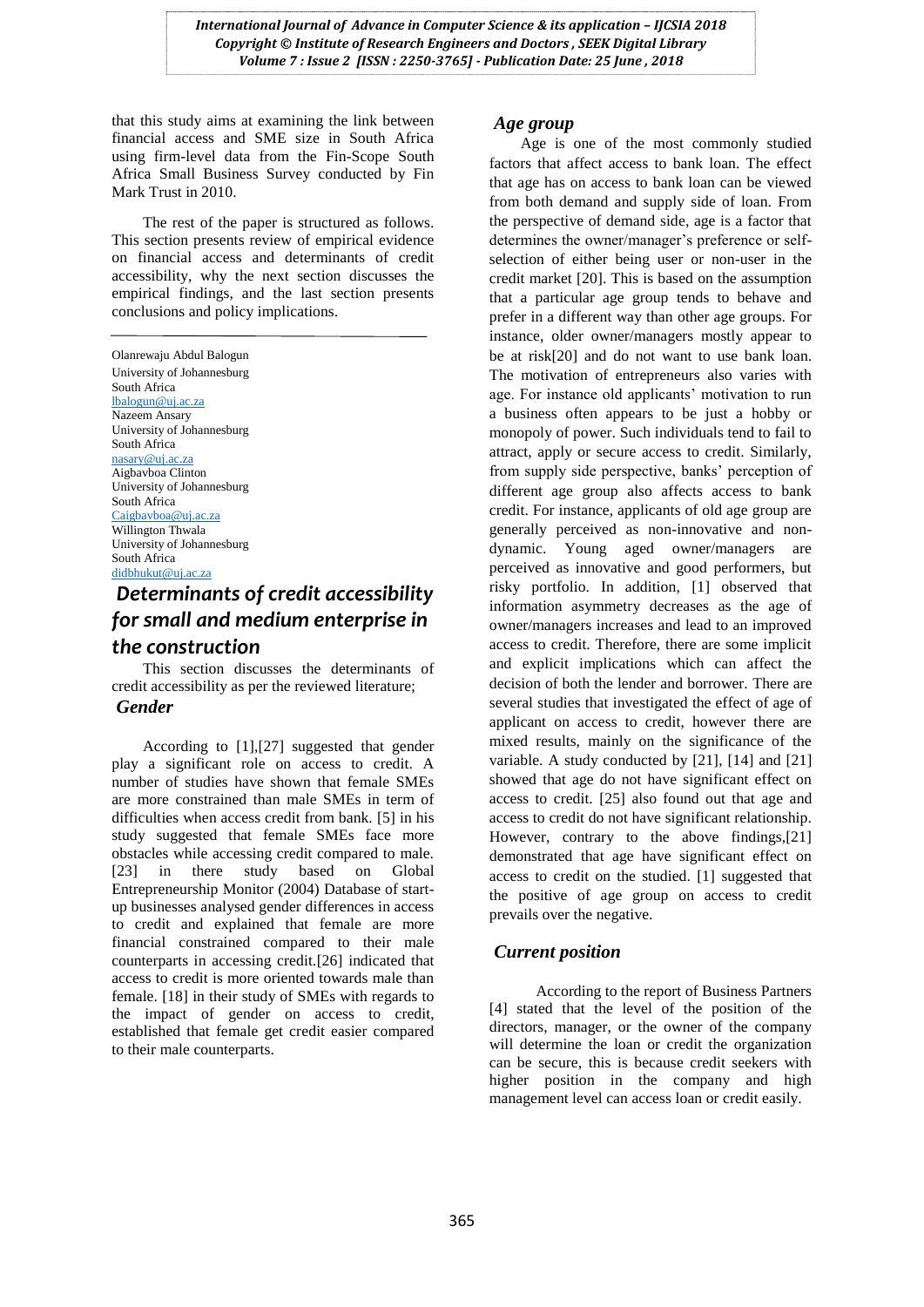*International Journal of Advance in Computer Science & its application - IJCSIA 2018 Copyright © Institute of Research Engineers and Doctors , SEEK Digital Library Volume 7 : Issue 2 [ISSN : 2250-3765] - Publication Date: 25 June , 2018*

that this study aims at examining the link between financial access and SME size in South Africa using firm-level data from the Fin-Scope South Africa Small Business Survey conducted by Fin Mark Trust in 2010.

 The rest of the paper is structured as follows. This section presents review of empirical evidence on financial access and determinants of credit accessibility, why the next section discusses the empirical findings, and the last section presents conclusions and policy implications.

Olanrewaju Abdul Balogun University of Johannesburg South Africa [lbalogun@uj.ac.za](mailto:lbalogun@uj.ac.za) Nazeem Ansary University of Johannesburg South Africa [nasary@uj.ac.za](mailto:nasary@uj.ac.za) Aigbavboa Clinton University of Johannesburg South Africa [Caigbavboa@uj.ac.za](mailto:Caigbavboa@uj.ac.za) Willington Thwala University of Johannesburg South Africa [didbhukut@uj.ac.za](mailto:didbhukut@uj.ac.za)

# *Determinants of credit accessibility for small and medium enterprise in the construction*

 This section discusses the determinants of credit accessibility as per the reviewed literature; *Gender*

 According to [1],[27] suggested that gender play a significant role on access to credit. A number of studies have shown that female SMEs are more constrained than male SMEs in term of difficulties when access credit from bank. [5] in his study suggested that female SMEs face more obstacles while accessing credit compared to male. [23] in there study based on Global Entrepreneurship Monitor (2004) Database of startup businesses analysed gender differences in access to credit and explained that female are more financial constrained compared to their male counterparts in accessing credit.[26] indicated that access to credit is more oriented towards male than female. [18] in their study of SMEs with regards to the impact of gender on access to credit, established that female get credit easier compared to their male counterparts.

#### *Age group*

 Age is one of the most commonly studied factors that affect access to bank loan. The effect that age has on access to bank loan can be viewed from both demand and supply side of loan. From the perspective of demand side, age is a factor that determines the owner/manager's preference or selfselection of either being user or non-user in the credit market [20]. This is based on the assumption that a particular age group tends to behave and prefer in a different way than other age groups. For instance, older owner/managers mostly appear to be at risk[20] and do not want to use bank loan. The motivation of entrepreneurs also varies with age. For instance old applicants' motivation to run a business often appears to be just a hobby or monopoly of power. Such individuals tend to fail to attract, apply or secure access to credit. Similarly, from supply side perspective, banks" perception of different age group also affects access to bank credit. For instance, applicants of old age group are generally perceived as non-innovative and nondynamic. Young aged owner/managers are perceived as innovative and good performers, but risky portfolio. In addition, [1] observed that information asymmetry decreases as the age of owner/managers increases and lead to an improved access to credit. Therefore, there are some implicit and explicit implications which can affect the decision of both the lender and borrower. There are several studies that investigated the effect of age of applicant on access to credit, however there are mixed results, mainly on the significance of the variable. A study conducted by [21], [14] and [21] showed that age do not have significant effect on access to credit. [25] also found out that age and access to credit do not have significant relationship. However, contrary to the above findings,[21] demonstrated that age have significant effect on access to credit on the studied. [1] suggested that the positive of age group on access to credit prevails over the negative.

## *Current position*

 According to the report of Business Partners [4] stated that the level of the position of the directors, manager, or the owner of the company will determine the loan or credit the organization can be secure, this is because credit seekers with higher position in the company and high management level can access loan or credit easily.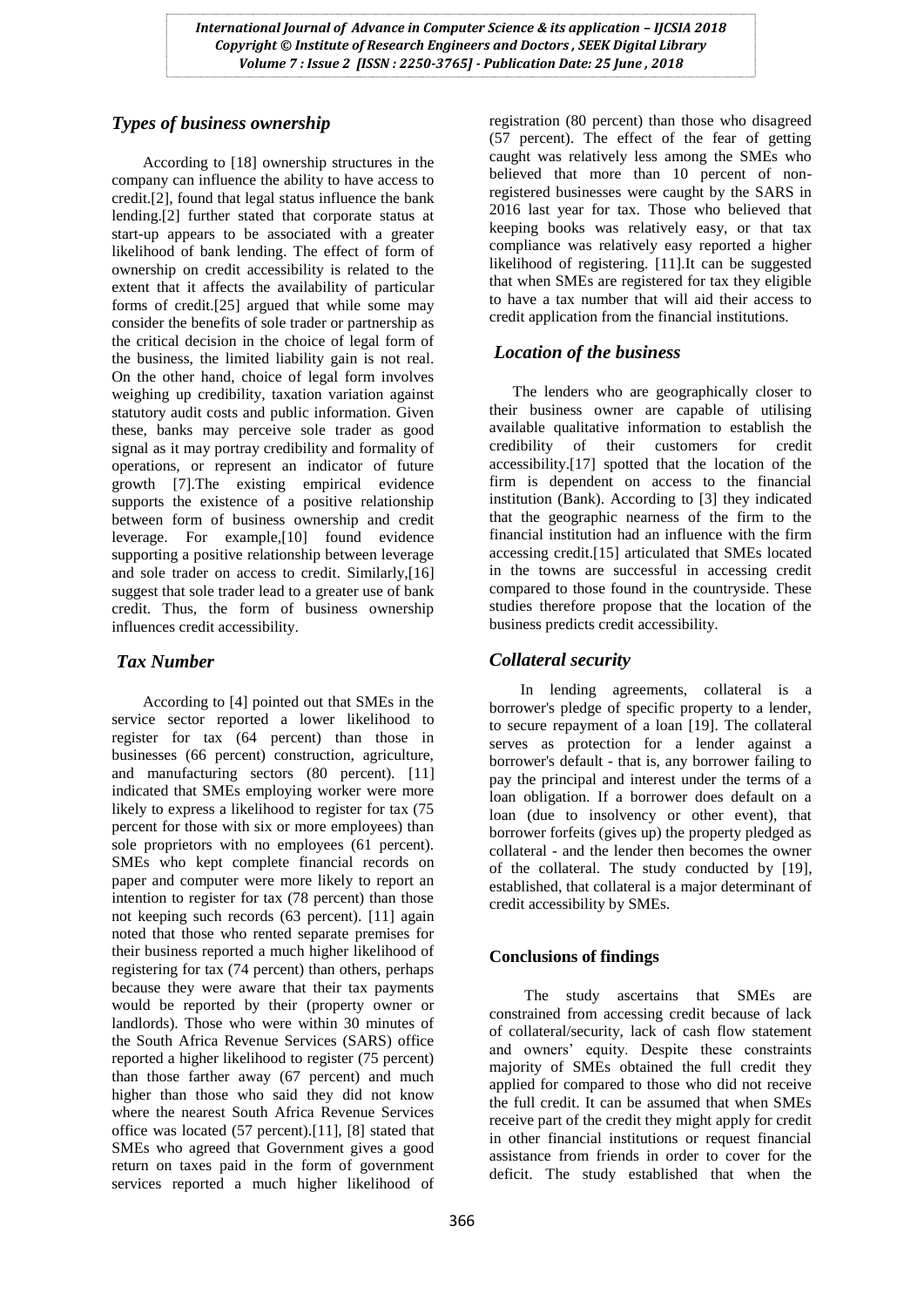*International Journal of Advance in Computer Science & its application – IJCSIA 2018 Copyright © Institute of Research Engineers and Doctors , SEEK Digital Library Volume 7 : Issue 2 [ISSN : 2250-3765] - Publication Date: 25 June , 2018*

## *Types of business ownership*

 According to [18] ownership structures in the company can influence the ability to have access to credit.[2], found that legal status influence the bank lending.[2] further stated that corporate status at start-up appears to be associated with a greater likelihood of bank lending. The effect of form of ownership on credit accessibility is related to the extent that it affects the availability of particular forms of credit.[25] argued that while some may consider the benefits of sole trader or partnership as the critical decision in the choice of legal form of the business, the limited liability gain is not real. On the other hand, choice of legal form involves weighing up credibility, taxation variation against statutory audit costs and public information. Given these, banks may perceive sole trader as good signal as it may portray credibility and formality of operations, or represent an indicator of future growth [7].The existing empirical evidence supports the existence of a positive relationship between form of business ownership and credit leverage. For example,[10] found evidence supporting a positive relationship between leverage and sole trader on access to credit. Similarly,[16] suggest that sole trader lead to a greater use of bank credit. Thus, the form of business ownership influences credit accessibility.

## *Tax Number*

 According to [4] pointed out that SMEs in the service sector reported a lower likelihood to register for tax (64 percent) than those in businesses (66 percent) construction, agriculture, and manufacturing sectors (80 percent). [11] indicated that SMEs employing worker were more likely to express a likelihood to register for tax (75) percent for those with six or more employees) than sole proprietors with no employees (61 percent). SMEs who kept complete financial records on paper and computer were more likely to report an intention to register for tax (78 percent) than those not keeping such records (63 percent). [11] again noted that those who rented separate premises for their business reported a much higher likelihood of registering for tax (74 percent) than others, perhaps because they were aware that their tax payments would be reported by their (property owner or landlords). Those who were within 30 minutes of the South Africa Revenue Services (SARS) office reported a higher likelihood to register (75 percent) than those farther away (67 percent) and much higher than those who said they did not know where the nearest South Africa Revenue Services office was located (57 percent).[11], [8] stated that SMEs who agreed that Government gives a good return on taxes paid in the form of government services reported a much higher likelihood of

registration (80 percent) than those who disagreed (57 percent). The effect of the fear of getting caught was relatively less among the SMEs who believed that more than 10 percent of nonregistered businesses were caught by the SARS in 2016 last year for tax. Those who believed that keeping books was relatively easy, or that tax compliance was relatively easy reported a higher likelihood of registering. [11].It can be suggested that when SMEs are registered for tax they eligible to have a tax number that will aid their access to credit application from the financial institutions.

## *Location of the business*

 The lenders who are geographically closer to their business owner are capable of utilising available qualitative information to establish the credibility of their customers for credit accessibility.[17] spotted that the location of the firm is dependent on access to the financial institution (Bank). According to [3] they indicated that the geographic nearness of the firm to the financial institution had an influence with the firm accessing credit.[15] articulated that SMEs located in the towns are successful in accessing credit compared to those found in the countryside. These studies therefore propose that the location of the business predicts credit accessibility.

## *Collateral security*

 In [lending agreements, c](http://en.wikipedia.org/wiki/Loan_agreement)ollateral is a borrower's pledge of specific property to a lender, to secure repayment of a loan [19]. The collateral serves as protection for a lender against a borrower's [default -](http://en.wikipedia.org/wiki/Default_(finance)) that is, any borrower failing to pay the principal and interest under the terms of a loan obligation. If a borrower does default on a loan (due to insolvency or other event), that borrower forfeits (gives up) the property pledged as collateral - and the lender then becomes the owner of the collateral. The study conducted by [19], established, that collateral is a major determinant of credit accessibility by SMEs.

## **Conclusions of findings**

 The study ascertains that SMEs are constrained from accessing credit because of lack of collateral/security, lack of cash flow statement and owners" equity. Despite these constraints majority of SMEs obtained the full credit they applied for compared to those who did not receive the full credit. It can be assumed that when SMEs receive part of the credit they might apply for credit in other financial institutions or request financial assistance from friends in order to cover for the deficit. The study established that when the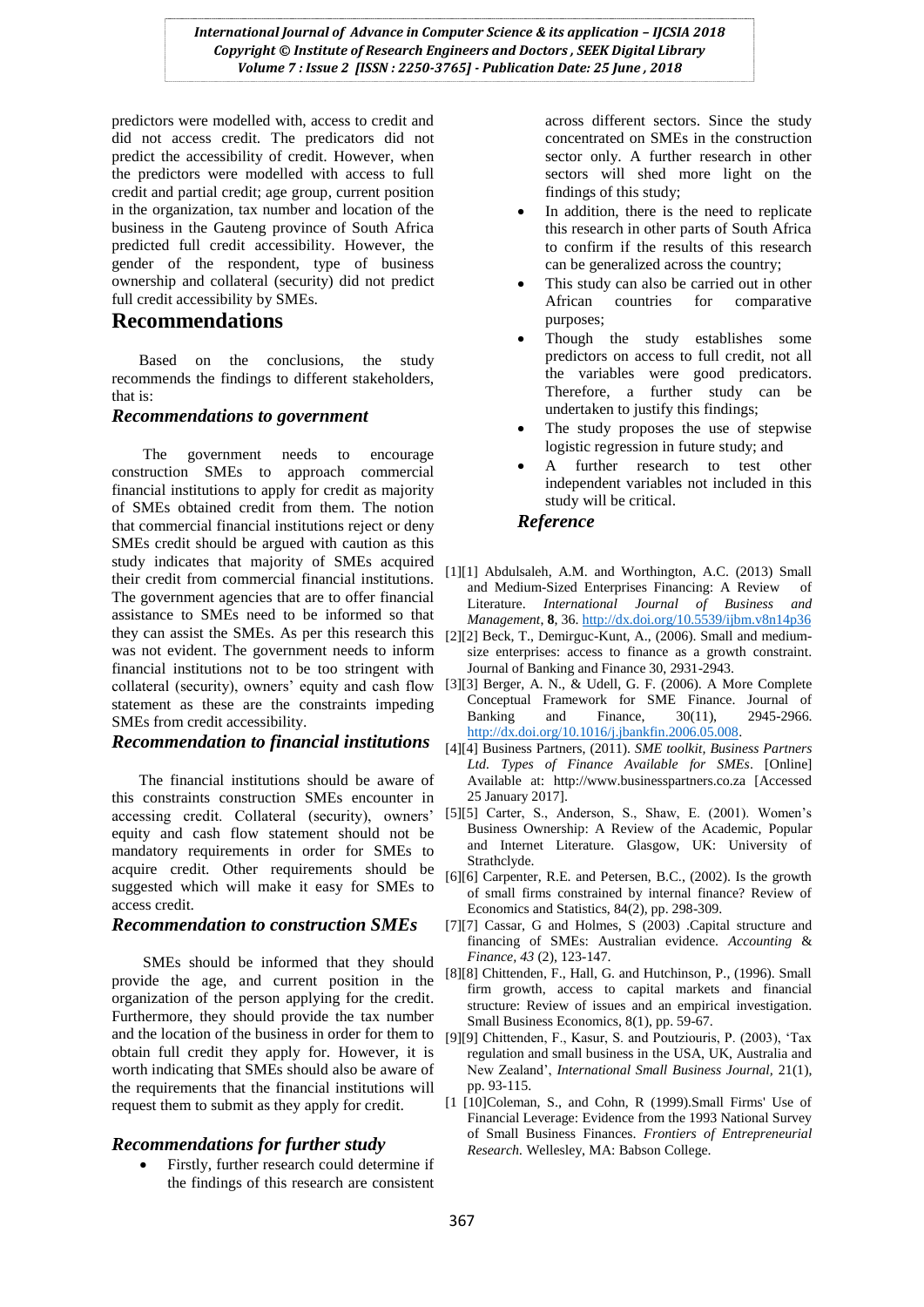*International Journal of Advance in Computer Science & its application – IJCSIA 2018 Copyright © Institute of Research Engineers and Doctors , SEEK Digital Library Volume 7 : Issue 2 [ISSN : 2250-3765] - Publication Date: 25 June , 2018*

predictors were modelled with, access to credit and did not access credit. The predicators did not predict the accessibility of credit. However, when the predictors were modelled with access to full credit and partial credit; age group, current position in the organization, tax number and location of the business in the Gauteng province of South Africa predicted full credit accessibility. However, the gender of the respondent, type of business ownership and collateral (security) did not predict full credit accessibility by SMEs.

#### **Recommendations**

 Based on the conclusions, the study recommends the findings to different stakeholders, that is:

#### *Recommendations to government*

 The government needs to encourage construction SMEs to approach commercial financial institutions to apply for credit as majority of SMEs obtained credit from them. The notion that commercial financial institutions reject or deny SMEs credit should be argued with caution as this study indicates that majority of SMEs acquired their credit from commercial financial institutions. The government agencies that are to offer financial assistance to SMEs need to be informed so that they can assist the SMEs. As per this research this was not evident. The government needs to inform financial institutions not to be too stringent with statement as these are the constraints impeding SMEs from credit accessibility.

#### *Recommendation to financial institutions*

 The financial institutions should be aware of this constraints construction SMEs encounter in accessing credit. Collateral (security), owners" equity and cash flow statement should not be mandatory requirements in order for SMEs to acquire credit. Other requirements should be suggested which will make it easy for SMEs to access credit.

#### *Recommendation to construction SMEs*

 SMEs should be informed that they should provide the age, and current position in the organization of the person applying for the credit. Furthermore, they should provide the tax number and the location of the business in order for them to [9][9] Chittenden, F., Kasur, S. and Poutziouris, P. (2003), "Tax obtain full credit they apply for. However, it is worth indicating that SMEs should also be aware of the requirements that the financial institutions will request them to submit as they apply for credit.

#### *Recommendations for further study*

 Firstly, further research could determine if the findings of this research are consistent

across different sectors. Since the study concentrated on SMEs in the construction sector only. A further research in other sectors will shed more light on the findings of this study;

- In addition, there is the need to replicate this research in other parts of South Africa to confirm if the results of this research can be generalized across the country;
- This study can also be carried out in other African countries for comparative purposes;
- Though the study establishes some predictors on access to full credit, not all the variables were good predicators. Therefore, a further study can be undertaken to justify this findings;
- The study proposes the use of stepwise logistic regression in future study; and
- A further research to test other independent variables not included in this study will be critical.

#### *Reference*

- [1][1] Abdulsaleh, A.M. and Worthington, A.C. (2013) Small and Medium-Sized Enterprises Financing: A Review of Literature. *International Journal of Business and Management*, **8**, 36[. http://dx.doi.org/10.5539/ijbm.v8n14p36](http://dx.doi.org/10.5539/ijbm.v8n14p36)
- [2][2] Beck, T., Demirguc-Kunt, A., (2006). Small and mediumsize enterprises: access to finance as a growth constraint. Journal of Banking and Finance 30, 2931-2943.
- collateral (security), owners' equity and cash flow [3][3] Berger, A. N., & Udell, G. F. (2006). A More Complete Conceptual Framework for SME Finance. Journal of Banking and Finance, 30(11), 2945-2966. [http://dx.doi.org/10.1016/j.jbankfin.2006.05.008.](http://dx.doi.org/10.1016/j.jbankfin.2006.05.008)
	- [4][4] Business Partners, (2011). *SME toolkit, Business Partners Ltd. Types of Finance Available for SMEs*. [Online] Available at: http://www.businesspartners.co.za [Accessed 25 January 2017].
	- [5][5] Carter, S., Anderson, S., Shaw, E. (2001). Women's Business Ownership: A Review of the Academic, Popular and Internet Literature. Glasgow, UK: University of Strathclyde.
	- [6][6] Carpenter, R.E. and Petersen, B.C., (2002). Is the growth of small firms constrained by internal finance? Review of Economics and Statistics, 84(2), pp. 298-309.
	- [7][7] Cassar, G and Holmes, S (2003) .Capital structure and financing of SMEs: Australian evidence. *Accounting* & *Finance, 43* (2), 123-147.
	- [8][8] Chittenden, F., Hall, G. and Hutchinson, P., (1996). Small firm growth, access to capital markets and financial structure: Review of issues and an empirical investigation. Small Business Economics, 8(1), pp. 59-67.
	- regulation and small business in the USA, UK, Australia and New Zealand", *International Small Business Journal,* 21(1), pp. 93-115.
	- [1 [10]Coleman, S., and Cohn, R (1999).Small Firms' Use of Financial Leverage: Evidence from the 1993 National Survey of Small Business Finances. *Frontiers of Entrepreneurial Research.* Wellesley, MA: Babson College.